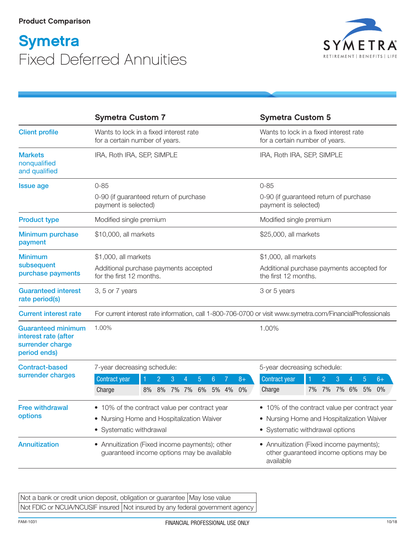## **Symetra** Fixed Deferred Annuities



|                                                                                       | <b>Symetra Custom 7</b>                                                                                                     | <b>Symetra Custom 5</b>                                                                          |
|---------------------------------------------------------------------------------------|-----------------------------------------------------------------------------------------------------------------------------|--------------------------------------------------------------------------------------------------|
| <b>Client profile</b>                                                                 | Wants to lock in a fixed interest rate<br>for a certain number of years.                                                    | Wants to lock in a fixed interest rate<br>for a certain number of years.                         |
| <b>Markets</b><br>nonqualified<br>and qualified                                       | IRA, Roth IRA, SEP, SIMPLE                                                                                                  | IRA, Roth IRA, SEP, SIMPLE                                                                       |
| <b>Issue age</b>                                                                      | $0 - 85$                                                                                                                    | $0 - 85$                                                                                         |
|                                                                                       | 0-90 (if guaranteed return of purchase<br>payment is selected)                                                              | 0-90 (if guaranteed return of purchase<br>payment is selected)                                   |
| <b>Product type</b>                                                                   | Modified single premium                                                                                                     | Modified single premium                                                                          |
| <b>Minimum purchase</b><br>payment                                                    | \$10,000, all markets                                                                                                       | \$25,000, all markets                                                                            |
| <b>Minimum</b>                                                                        | \$1,000, all markets                                                                                                        | \$1,000, all markets                                                                             |
| subsequent<br>purchase payments                                                       | Additional purchase payments accepted<br>for the first 12 months.                                                           | Additional purchase payments accepted for<br>the first 12 months.                                |
| <b>Guaranteed interest</b><br>rate period(s)                                          | 3, 5 or 7 years                                                                                                             | 3 or 5 years                                                                                     |
| <b>Current interest rate</b>                                                          | For current interest rate information, call 1-800-706-0700 or visit www.symetra.com/FinancialProfessionals                  |                                                                                                  |
| <b>Guaranteed minimum</b><br>interest rate (after<br>surrender charge<br>period ends) | 1.00%                                                                                                                       | 1.00%                                                                                            |
| <b>Contract-based</b><br>surrender charges                                            | 7-year decreasing schedule:                                                                                                 | 5-year decreasing schedule:                                                                      |
|                                                                                       | Contract year<br>$\overline{2}$<br>3<br>4<br>$5^{\circ}$<br>6<br>7<br>$8+$<br>7% 7%<br>6% 5% 4%<br>8%<br>8%<br>0%<br>Charge | Contract year<br>$\overline{2}$<br>3<br>5<br>$6+$<br>1<br>4<br>7% 6% 5%<br>Charge<br>7% 7%<br>0% |
| <b>Free withdrawal</b><br>options                                                     | • 10% of the contract value per contract year                                                                               | • 10% of the contract value per contract year                                                    |
|                                                                                       | • Nursing Home and Hospitalization Waiver                                                                                   | • Nursing Home and Hospitalization Waiver                                                        |
|                                                                                       | • Systematic withdrawal                                                                                                     | • Systematic withdrawal options                                                                  |
| <b>Annuitization</b>                                                                  | • Annuitization (Fixed income payments); other<br>guaranteed income options may be available                                | • Annuitization (Fixed income payments);<br>other guaranteed income options may be<br>available  |

Not a bank or credit union deposit, obligation or guarantee May lose value Not FDIC or NCUA/NCUSIF insured Not insured by any federal government agency